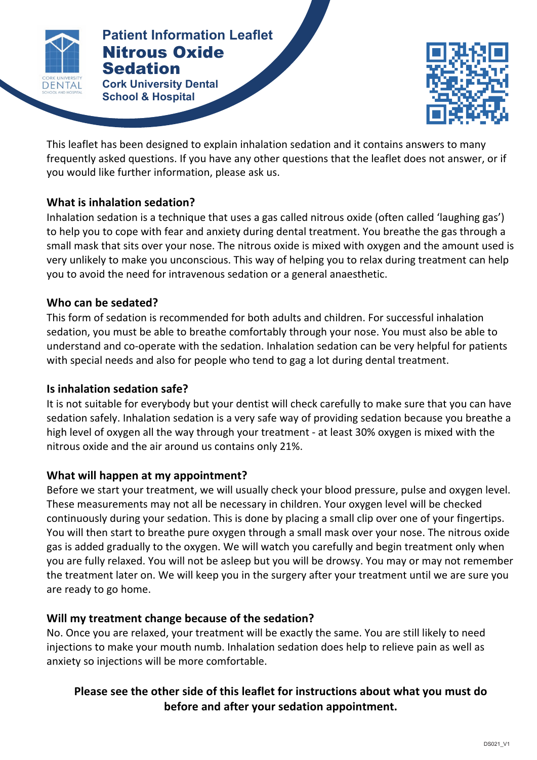

#### **Patients NITROUS Patient Information Leaflet** Nitrous Oxide **Sedation**

**Cork University Dental School & Hospital**



This leaflet has been designed to explain inhalation sedation and it contains answers to many frequently asked questions. If you have any other questions that the leaflet does not answer, or if you would like further information, please ask us.

# **What is inhalation sedation?**

Inhalation sedation is a technique that uses a gas called nitrous oxide (often called 'laughing gas') to help you to cope with fear and anxiety during dental treatment. You breathe the gas through a small mask that sits over your nose. The nitrous oxide is mixed with oxygen and the amount used is very unlikely to make you unconscious. This way of helping you to relax during treatment can help you to avoid the need for intravenous sedation or a general anaesthetic.

### Who can be sedated?

This form of sedation is recommended for both adults and children. For successful inhalation sedation, you must be able to breathe comfortably through your nose. You must also be able to understand and co-operate with the sedation. Inhalation sedation can be very helpful for patients with special needs and also for people who tend to gag a lot during dental treatment.

### **Is inhalation sedation safe?**

It is not suitable for everybody but your dentist will check carefully to make sure that you can have sedation safely. Inhalation sedation is a very safe way of providing sedation because you breathe a high level of oxygen all the way through your treatment - at least 30% oxygen is mixed with the nitrous oxide and the air around us contains only 21%.

# What will happen at my appointment?

Before we start your treatment, we will usually check your blood pressure, pulse and oxygen level. These measurements may not all be necessary in children. Your oxygen level will be checked continuously during your sedation. This is done by placing a small clip over one of your fingertips. You will then start to breathe pure oxygen through a small mask over your nose. The nitrous oxide gas is added gradually to the oxygen. We will watch you carefully and begin treatment only when you are fully relaxed. You will not be asleep but you will be drowsy. You may or may not remember the treatment later on. We will keep you in the surgery after your treatment until we are sure you are ready to go home.

# Will my treatment change because of the sedation?

No. Once you are relaxed, your treatment will be exactly the same. You are still likely to need injections to make your mouth numb. Inhalation sedation does help to relieve pain as well as anxiety so injections will be more comfortable.

# Please see the other side of this leaflet for instructions about what you must do before and after your sedation appointment.